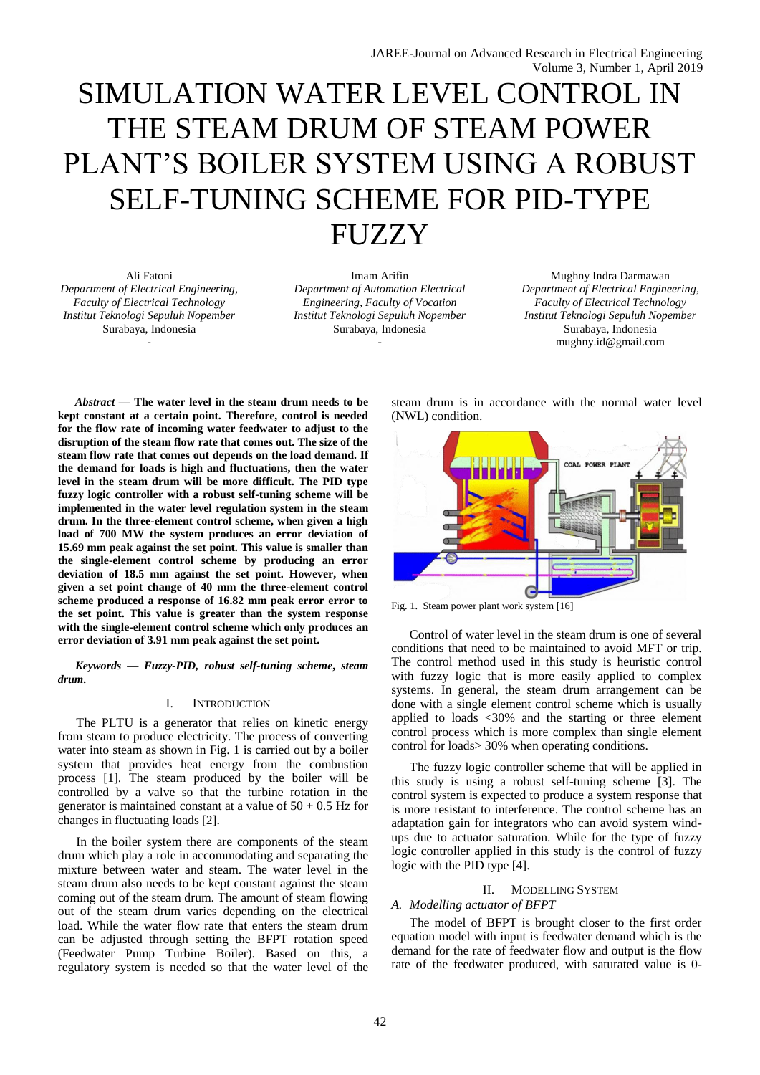# SIMULATION WATER LEVEL CONTROL IN THE STEAM DRUM OF STEAM POWER PLANT'S BOILER SYSTEM USING A ROBUST SELF-TUNING SCHEME FOR PID-TYPE **FUZZY**

Ali Fatoni *Department of Electrical Engineering, Faculty of Electrical Technology Institut Teknologi Sepuluh Nopember* Surabaya, Indonesia -

Imam Arifin *Department of Automation Electrical Engineering, Faculty of Vocation Institut Teknologi Sepuluh Nopember* Surabaya, Indonesia -

Mughny Indra Darmawan *Department of Electrical Engineering, Faculty of Electrical Technology Institut Teknologi Sepuluh Nopember* Surabaya, Indonesia mughny.id@gmail.com

*Abstract* **— The water level in the steam drum needs to be kept constant at a certain point. Therefore, control is needed for the flow rate of incoming water feedwater to adjust to the disruption of the steam flow rate that comes out. The size of the steam flow rate that comes out depends on the load demand. If the demand for loads is high and fluctuations, then the water level in the steam drum will be more difficult. The PID type fuzzy logic controller with a robust self-tuning scheme will be implemented in the water level regulation system in the steam drum. In the three-element control scheme, when given a high load of 700 MW the system produces an error deviation of 15.69 mm peak against the set point. This value is smaller than the single-element control scheme by producing an error deviation of 18.5 mm against the set point. However, when given a set point change of 40 mm the three-element control scheme produced a response of 16.82 mm peak error error to the set point. This value is greater than the system response with the single-element control scheme which only produces an error deviation of 3.91 mm peak against the set point.**

*Keywords — Fuzzy-PID, robust self-tuning scheme***,** *steam drum.*

## I. INTRODUCTION

The PLTU is a generator that relies on kinetic energy from steam to produce electricity. The process of converting water into steam as shown in Fig. 1 is carried out by a boiler system that provides heat energy from the combustion process [1]. The steam produced by the boiler will be controlled by a valve so that the turbine rotation in the generator is maintained constant at a value of  $50 + 0.5$  Hz for changes in fluctuating loads [2].

In the boiler system there are components of the steam drum which play a role in accommodating and separating the mixture between water and steam. The water level in the steam drum also needs to be kept constant against the steam coming out of the steam drum. The amount of steam flowing out of the steam drum varies depending on the electrical load. While the water flow rate that enters the steam drum can be adjusted through setting the BFPT rotation speed (Feedwater Pump Turbine Boiler). Based on this, a regulatory system is needed so that the water level of the steam drum is in accordance with the normal water level (NWL) condition.



Fig. 1. Steam power plant work system [16]

Control of water level in the steam drum is one of several conditions that need to be maintained to avoid MFT or trip. The control method used in this study is heuristic control with fuzzy logic that is more easily applied to complex systems. In general, the steam drum arrangement can be done with a single element control scheme which is usually applied to loads <30% and the starting or three element control process which is more complex than single element control for loads> 30% when operating conditions.

The fuzzy logic controller scheme that will be applied in this study is using a robust self-tuning scheme [3]. The control system is expected to produce a system response that is more resistant to interference. The control scheme has an adaptation gain for integrators who can avoid system windups due to actuator saturation. While for the type of fuzzy logic controller applied in this study is the control of fuzzy logic with the PID type [4].

## II. MODELLING SYSTEM

## *A. Modelling actuator of BFPT*

The model of BFPT is brought closer to the first order equation model with input is feedwater demand which is the demand for the rate of feedwater flow and output is the flow rate of the feedwater produced, with saturated value is 0-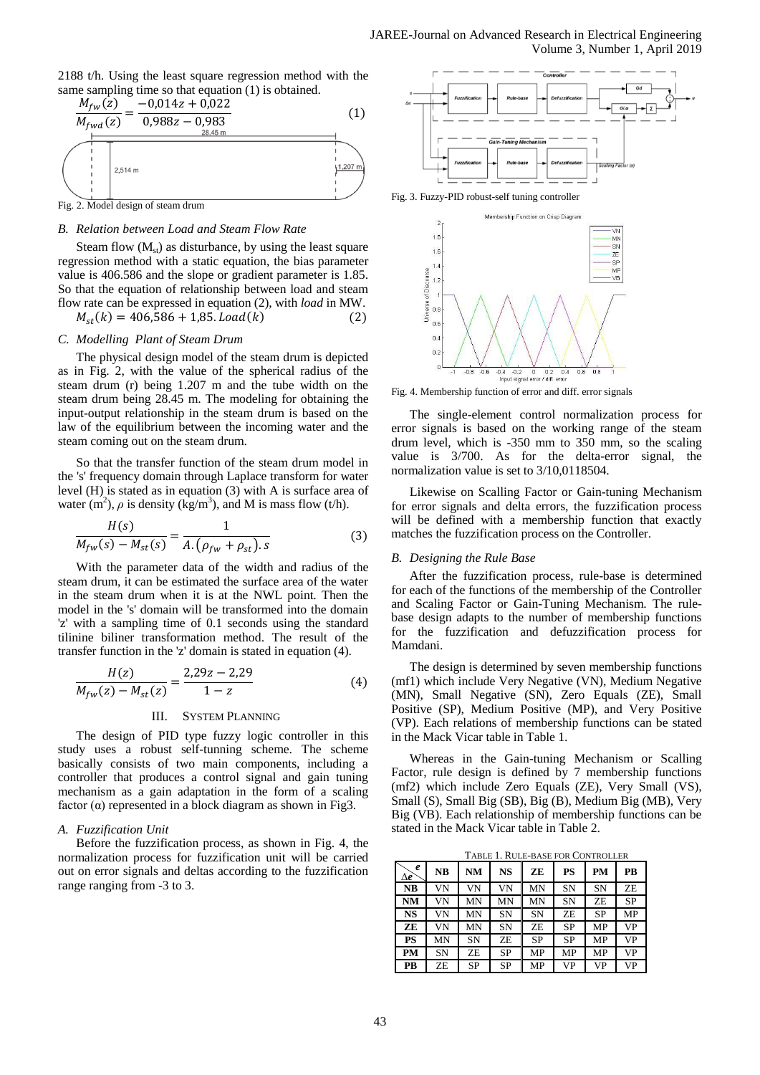## 2188 t/h. Using the least square regression method with the same sampling time so that equation (1) is obtained.



# Fig. 2. Model design of steam drum

## *B. Relation between Load and Steam Flow Rate*

Steam flow  $(M_{st})$  as disturbance, by using the least square regression method with a static equation, the bias parameter value is 406.586 and the slope or gradient parameter is 1.85. So that the equation of relationship between load and steam flow rate can be expressed in equation (2), with *load* in MW.

$$
M_{st}(k) = 406,586 + 1,85. \text{Load}(k) \tag{2}
$$

#### *C. Modelling Plant of Steam Drum*

The physical design model of the steam drum is depicted as in Fig. 2, with the value of the spherical radius of the steam drum (r) being 1.207 m and the tube width on the steam drum being 28.45 m. The modeling for obtaining the input-output relationship in the steam drum is based on the law of the equilibrium between the incoming water and the steam coming out on the steam drum.

So that the transfer function of the steam drum model in the 's' frequency domain through Laplace transform for water level (H) is stated as in equation (3) with A is surface area of water  $(m^2)$ ,  $\rho$  is density (kg/m<sup>3</sup>), and M is mass flow (t/h).

$$
\frac{H(s)}{M_{fw}(s) - M_{st}(s)} = \frac{1}{A.(\rho_{fw} + \rho_{st}).s}
$$
(3)

With the parameter data of the width and radius of the steam drum, it can be estimated the surface area of the water in the steam drum when it is at the NWL point. Then the model in the 's' domain will be transformed into the domain 'z' with a sampling time of 0.1 seconds using the standard tilinine biliner transformation method. The result of the transfer function in the 'z' domain is stated in equation (4).

$$
\frac{H(z)}{M_{fw}(z) - M_{st}(z)} = \frac{2,29z - 2,29}{1 - z} \tag{4}
$$

#### III. SYSTEM PLANNING

The design of PID type fuzzy logic controller in this study uses a robust self-tunning scheme. The scheme basically consists of two main components, including a controller that produces a control signal and gain tuning mechanism as a gain adaptation in the form of a scaling factor  $(\alpha)$  represented in a block diagram as shown in Fig3.

#### *A. Fuzzification Unit*

Before the fuzzification process, as shown in Fig. 4, the normalization process for fuzzification unit will be carried out on error signals and deltas according to the fuzzification range ranging from -3 to 3.





Fig. 4. Membership function of error and diff. error signals

The single-element control normalization process for error signals is based on the working range of the steam drum level, which is -350 mm to 350 mm, so the scaling value is 3/700. As for the delta-error signal, the normalization value is set to 3/10,0118504.

Likewise on Scalling Factor or Gain-tuning Mechanism for error signals and delta errors, the fuzzification process will be defined with a membership function that exactly matches the fuzzification process on the Controller.

#### *B. Designing the Rule Base*

After the fuzzification process, rule-base is determined for each of the functions of the membership of the Controller and Scaling Factor or Gain-Tuning Mechanism. The rulebase design adapts to the number of membership functions for the fuzzification and defuzzification process for Mamdani.

The design is determined by seven membership functions (mf1) which include Very Negative (VN), Medium Negative (MN), Small Negative (SN), Zero Equals (ZE), Small Positive (SP), Medium Positive (MP), and Very Positive (VP). Each relations of membership functions can be stated in the Mack Vicar table in Table 1.

Whereas in the Gain-tuning Mechanism or Scalling Factor, rule design is defined by 7 membership functions (mf2) which include Zero Equals (ZE), Very Small (VS), Small (S), Small Big (SB), Big (B), Medium Big (MB), Very Big (VB). Each relationship of membership functions can be stated in the Mack Vicar table in Table 2.

TABLE 1. RULE-BASE FOR CONTROLLER

| e<br>$\Delta\boldsymbol{e}^\cdot$ | NB | NM | NS        | ZE        | PS        | <b>PM</b> | PB        |
|-----------------------------------|----|----|-----------|-----------|-----------|-----------|-----------|
| NB                                | VN | VN | VN        | MN        | SN        | <b>SN</b> | ZE        |
| NM                                | VN | MN | MN        | MN        | SN        | ZE        | <b>SP</b> |
| <b>NS</b>                         | VN | MN | SN        | SN        | ZE        | SP        | MP        |
| ZE                                | VN | MN | SN        | ZE        | <b>SP</b> | MP        | VP        |
| PS                                | MΝ | SN | ZE        | <b>SP</b> | SP        | MP        | VP        |
| PM                                | SN | ZE | SP        | MP        | MP        | MP        | VP        |
| PB                                | ZE | SP | <b>SP</b> | MP        | VP        | VP        | VP        |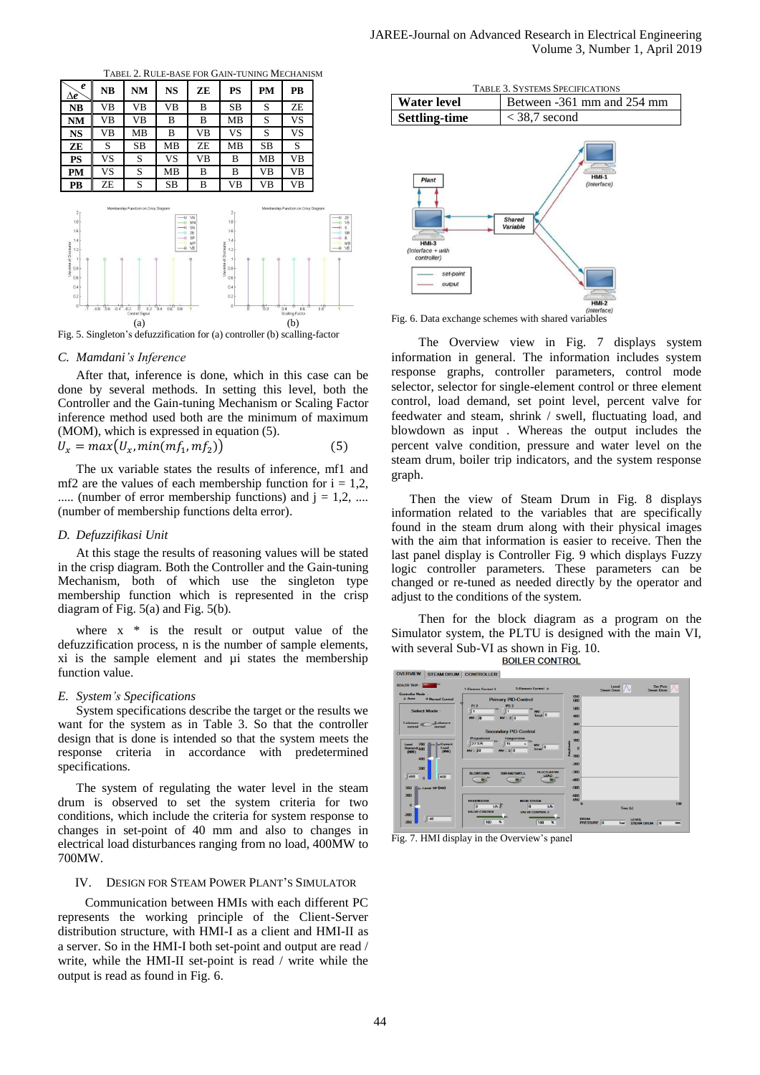| $\boldsymbol{e}$<br>Δe                                         | NB                           | NM                                        | <b>NS</b>        | ZE                          | PS                                                                                                           | PM            | PB                                         |
|----------------------------------------------------------------|------------------------------|-------------------------------------------|------------------|-----------------------------|--------------------------------------------------------------------------------------------------------------|---------------|--------------------------------------------|
| <b>NB</b>                                                      | VВ                           | VВ                                        | VВ               | B                           | SВ                                                                                                           | S             | ZE                                         |
| NM                                                             | VВ                           | VВ                                        | B                | B                           | MB                                                                                                           | S             | VS                                         |
| NS                                                             | VВ                           | MВ                                        | B                | VВ                          | VS                                                                                                           | S             | VS                                         |
| ZE                                                             | S                            | SB                                        | MВ               | ZE                          | MВ                                                                                                           | SB            | S                                          |
| <b>PS</b>                                                      | VS                           | S                                         | VS               | VВ                          | B                                                                                                            | MВ            | VВ                                         |
| PМ                                                             | VS                           | S                                         | MB               | В                           | B                                                                                                            | VВ            | VВ                                         |
|                                                                |                              |                                           |                  |                             |                                                                                                              |               |                                            |
| 2r<br>1.8 <sub>k</sub>                                         | ZE                           | S<br>Membership Function on Crisp Diagram | SВ<br>Ð          | B<br>W<br>MN                | VВ<br>2 <sub>f</sub><br>1.8 <sub>k</sub>                                                                     | VВ            | VВ<br>Membership Function on Crisp Diagram |
| 1.6<br>1.4<br>1.2<br>-11<br>0.8 <sub>1</sub><br>0.6<br>$0.4 +$ |                              |                                           |                  | SN<br>Æ<br>SP<br>MP<br>O VB | 1.6 <sup>1</sup><br>1.4<br>Universe of Discourse<br>$\frac{12}{12}$<br>$\frac{12}{12}$<br>$0.6 +$<br>$0.4 +$ |               |                                            |
| PВ<br>Universe of Discourse<br>0.2<br>o۱<br>л                  | $-0.6 - 0.4 - 0.2$<br>$-0.8$ | 0.2<br>ñ<br>Control Signal                | 0.4<br>$0.6$ 0.8 | $\overline{1}$              | $0.2 +$<br>0 <sup>1</sup><br>n                                                                               | $\frac{6}{2}$ | 0.6<br>0.4<br>Scalling Factor              |

Fig. 5. Singleton's defuzzification for (a) controller (b) scalling-factor

#### *C. Mamdani's Inference*

After that, inference is done, which in this case can be done by several methods. In setting this level, both the Controller and the Gain-tuning Mechanism or Scaling Factor inference method used both are the minimum of maximum (MOM), which is expressed in equation (5).

$$
U_x = max(U_x, min(mf_1, mf_2))
$$
\n(5)

The ux variable states the results of inference, mf1 and mf2 are the values of each membership function for  $i = 1.2$ , ..... (number of error membership functions) and  $i = 1, 2, \dots$ (number of membership functions delta error).

#### *D. Defuzzifikasi Unit*

At this stage the results of reasoning values will be stated in the crisp diagram. Both the Controller and the Gain-tuning Mechanism, both of which use the singleton type membership function which is represented in the crisp diagram of Fig. 5(a) and Fig. 5(b).

where  $x * is the result or output value of the$ defuzzification process, n is the number of sample elements, xi is the sample element and µi states the membership function value.

## *E. System's Specifications*

System specifications describe the target or the results we want for the system as in Table 3. So that the controller design that is done is intended so that the system meets the response criteria in accordance with predetermined specifications.

The system of regulating the water level in the steam drum is observed to set the system criteria for two conditions, which include the criteria for system response to changes in set-point of 40 mm and also to changes in electrical load disturbances ranging from no load, 400MW to 700MW.

## IV. DESIGN FOR STEAM POWER PLANT'S SIMULATOR

Communication between HMIs with each different PC represents the working principle of the Client-Server distribution structure, with HMI-I as a client and HMI-II as a server. So in the HMI-I both set-point and output are read / write, while the HMI-II set-point is read / write while the output is read as found in Fig. 6.



Fig. 6. Data exchange schemes with shared variables

The Overview view in Fig. 7 displays system information in general. The information includes system response graphs, controller parameters, control mode selector, selector for single-element control or three element control, load demand, set point level, percent valve for feedwater and steam, shrink / swell, fluctuating load, and blowdown as input . Whereas the output includes the percent valve condition, pressure and water level on the steam drum, boiler trip indicators, and the system response graph.

Then the view of Steam Drum in Fig. 8 displays information related to the variables that are specifically found in the steam drum along with their physical images with the aim that information is easier to receive. Then the last panel display is Controller Fig. 9 which displays Fuzzy logic controller parameters. These parameters can be changed or re-tuned as needed directly by the operator and adjust to the conditions of the system*.*

Then for the block diagram as a program on the Simulator system, the PLTU is designed with the main VI, with several Sub-VI as shown in Fig. 10.<br>BOILER CONTROL



Fig. 7. HMI display in the Overview's panel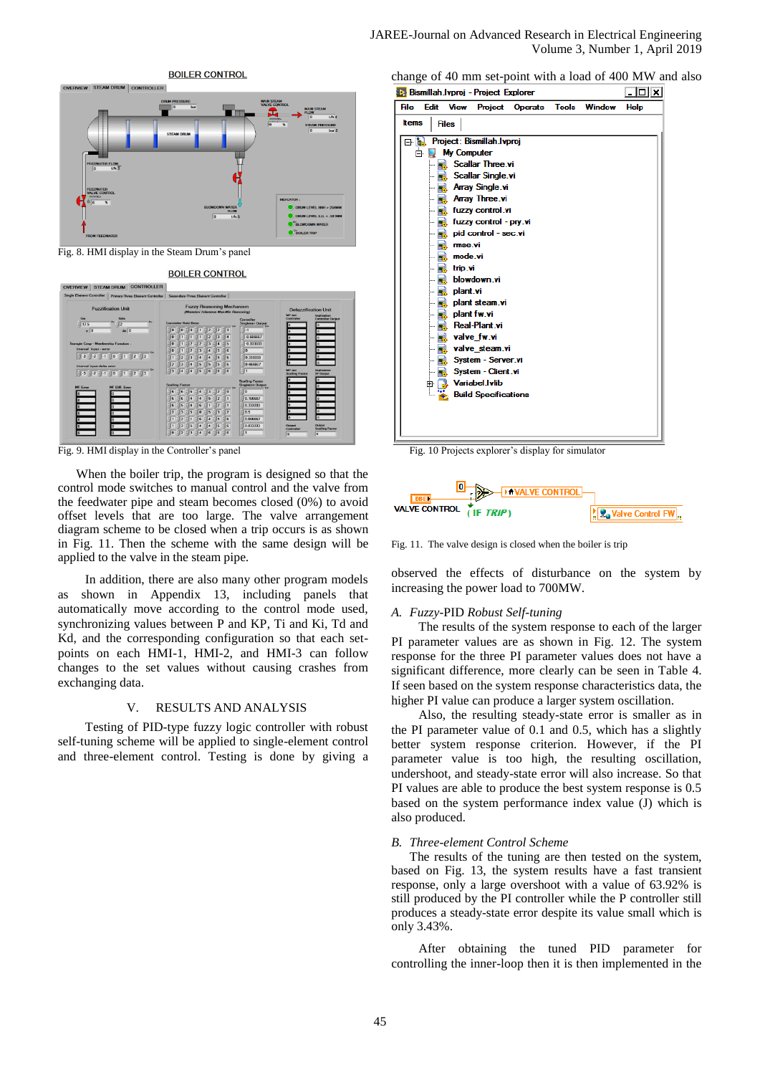

Fig. 8. HMI display in the Steam Drum's panel



Fig. 9. HMI display in the Controller's panel

When the boiler trip, the program is designed so that the control mode switches to manual control and the valve from the feedwater pipe and steam becomes closed (0%) to avoid offset levels that are too large. The valve arrangement diagram scheme to be closed when a trip occurs is as shown in Fig. 11. Then the scheme with the same design will be applied to the valve in the steam pipe.

In addition, there are also many other program models as shown in Appendix 13, including panels that automatically move according to the control mode used, synchronizing values between P and KP, Ti and Ki, Td and Kd, and the corresponding configuration so that each setpoints on each HMI-1, HMI-2, and HMI-3 can follow changes to the set values without causing crashes from exchanging data.

## V. RESULTS AND ANALYSIS

Testing of PID-type fuzzy logic controller with robust self-tuning scheme will be applied to single-element control and three-element control. Testing is done by giving a change of 40 mm set-point with a load of 400 MW and also

|                       |                                                                                              |                                                                | <b>Rus Bismillah Ivproj - Project Explorer</b>                                                                                                                                                                                                                                                       |         |              |        | ×           |
|-----------------------|----------------------------------------------------------------------------------------------|----------------------------------------------------------------|------------------------------------------------------------------------------------------------------------------------------------------------------------------------------------------------------------------------------------------------------------------------------------------------------|---------|--------------|--------|-------------|
|                       | Edit                                                                                         | <b>View</b>                                                    | Project                                                                                                                                                                                                                                                                                              | Operate | <b>Tools</b> | Window | <b>Help</b> |
| <b>Items</b>          |                                                                                              | <b>Files</b>                                                   |                                                                                                                                                                                                                                                                                                      |         |              |        |             |
| File<br>ľ.<br>o-<br>ė | h<br>ŀ<br> <br> -<br> <br> <br> <br>æ<br> <br> <br> <br> <br> -<br> <br> <br> <br> <br> <br> | <b>My Computer</b><br>mse.vi<br>mode.vi<br>trip.vi<br>plant.vi | Project: Bismillah.lvproj<br><b>Scallar Three.vi</b><br><b>Scallar Single.vi</b><br><b>Array Single.vi</b><br>Array Three.vi<br>fuzzy control.vi<br>fuzzy control - pry.vi<br>pid control - sec.vi<br>blowdown.vi<br>plant steam.vi<br>plant fw.vi<br>Real-Plant.vi<br>valve fw.vi<br>valve steam.vi |         |              |        |             |
|                       | <br> -                                                                                       |                                                                | System - Server.vi<br>System - Client.vi<br>Variabel.Ivlib                                                                                                                                                                                                                                           |         |              |        |             |
|                       | 田                                                                                            |                                                                | <b>Build Specifications</b>                                                                                                                                                                                                                                                                          |         |              |        |             |

Fig. 10 Projects explorer's display for simulator



Fig. 11. The valve design is closed when the boiler is trip

observed the effects of disturbance on the system by increasing the power load to 700MW.

#### *A. Fuzzy*-PID *Robust Self-tuning*

The results of the system response to each of the larger PI parameter values are as shown in Fig. 12. The system response for the three PI parameter values does not have a significant difference, more clearly can be seen in Table 4. If seen based on the system response characteristics data, the higher PI value can produce a larger system oscillation.

Also, the resulting steady-state error is smaller as in the PI parameter value of 0.1 and 0.5, which has a slightly better system response criterion. However, if the PI parameter value is too high, the resulting oscillation, undershoot, and steady-state error will also increase. So that PI values are able to produce the best system response is 0.5 based on the system performance index value (J) which is also produced*.*

### *B. Three-element Control Scheme*

The results of the tuning are then tested on the system, based on Fig. 13, the system results have a fast transient response, only a large overshoot with a value of 63.92% is still produced by the PI controller while the P controller still produces a steady-state error despite its value small which is only 3.43%.

After obtaining the tuned PID parameter for controlling the inner-loop then it is then implemented in the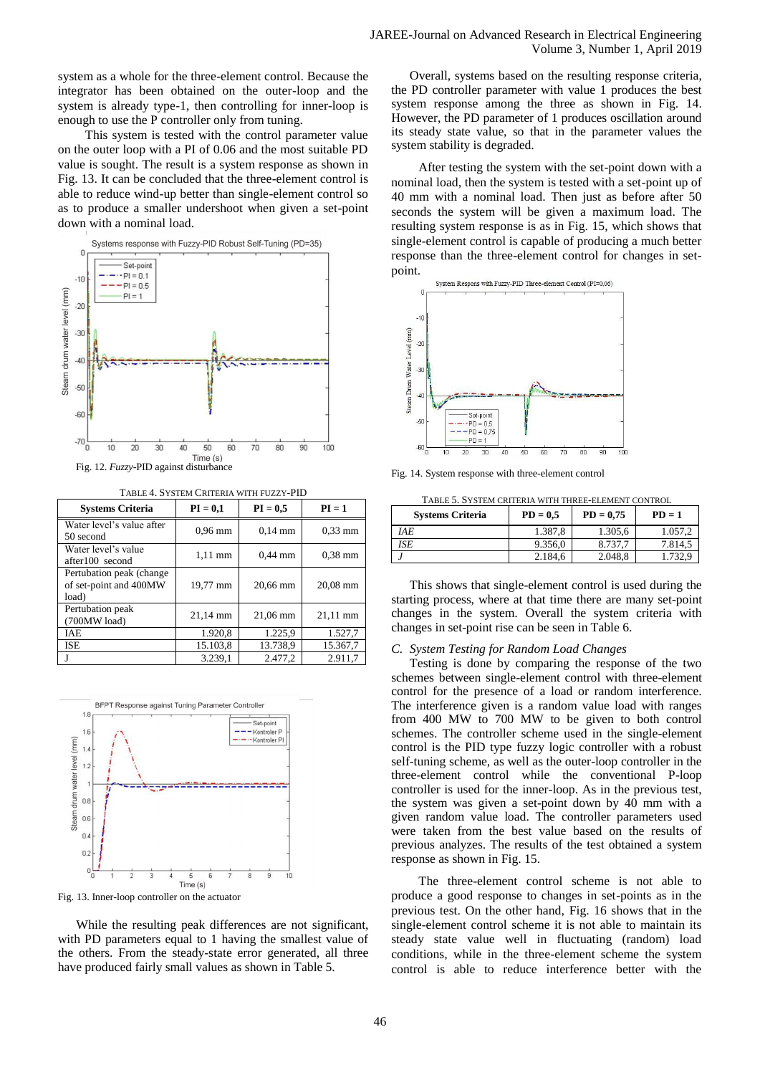system as a whole for the three-element control. Because the integrator has been obtained on the outer-loop and the system is already type-1, then controlling for inner-loop is enough to use the P controller only from tuning.

This system is tested with the control parameter value on the outer loop with a PI of 0.06 and the most suitable PD value is sought. The result is a system response as shown in Fig. 13. It can be concluded that the three-element control is able to reduce wind-up better than single-element control so as to produce a smaller undershoot when given a set-point down with a nominal load.



TABLE 4. SYSTEM CRITERIA WITH FUZZY-PID

| <b>Systems Criteria</b>                                      | $PI = 0.1$ | $PI = 0.5$ | $PI = 1$   |
|--------------------------------------------------------------|------------|------------|------------|
| Water level's value after<br>50 second                       | $0.96$ mm  | $0,14$ mm  | $0.33$ mm  |
| Water level's value<br>after100 second                       | $1,11$ mm  | $0,44$ mm  | $0.38$ mm  |
| Pertubation peak (change)<br>of set-point and 400MW<br>load) | 19,77 mm   | 20,66 mm   | $20.08$ mm |
| Pertubation peak<br>$(700MW$ load)                           | 21,14 mm   | $21,06$ mm | 21,11 mm   |
| <b>IAE</b>                                                   | 1.920,8    | 1.225,9    | 1.527,7    |
| ISE                                                          | 15.103,8   | 13.738,9   | 15.367,7   |
|                                                              | 3.239,1    | 2.477,2    | 2.911,7    |



Fig. 13. Inner-loop controller on the actuator

While the resulting peak differences are not significant, with PD parameters equal to 1 having the smallest value of the others. From the steady-state error generated, all three have produced fairly small values as shown in Table 5.

Overall, systems based on the resulting response criteria, the PD controller parameter with value 1 produces the best system response among the three as shown in Fig. 14. However, the PD parameter of 1 produces oscillation around its steady state value, so that in the parameter values the system stability is degraded.

After testing the system with the set-point down with a nominal load, then the system is tested with a set-point up of 40 mm with a nominal load. Then just as before after 50 seconds the system will be given a maximum load. The resulting system response is as in Fig. 15, which shows that single-element control is capable of producing a much better response than the three-element control for changes in setpoint.



Fig. 14. System response with three-element control

| TABLE 5. SYSTEM CRITERIA WITH THREE-ELEMENT CONTROL |            |             |          |  |  |  |
|-----------------------------------------------------|------------|-------------|----------|--|--|--|
| <b>Systems Criteria</b>                             | $PD = 0.5$ | $PD = 0.75$ | $PD = 1$ |  |  |  |
| IAE                                                 | 1.387.8    | 1.305.6     | 1.057,2  |  |  |  |
| ISE                                                 | 9.356,0    | 8.737.7     | 7.814.5  |  |  |  |
|                                                     | 2.184,6    | 2.048.8     | 1.732.9  |  |  |  |

This shows that single-element control is used during the starting process, where at that time there are many set-point changes in the system. Overall the system criteria with changes in set-point rise can be seen in Table 6.

#### *C. System Testing for Random Load Changes*

Testing is done by comparing the response of the two schemes between single-element control with three-element control for the presence of a load or random interference. The interference given is a random value load with ranges from 400 MW to 700 MW to be given to both control schemes. The controller scheme used in the single-element control is the PID type fuzzy logic controller with a robust self-tuning scheme, as well as the outer-loop controller in the three-element control while the conventional P-loop controller is used for the inner-loop. As in the previous test, the system was given a set-point down by 40 mm with a given random value load. The controller parameters used were taken from the best value based on the results of previous analyzes. The results of the test obtained a system response as shown in Fig. 15.

The three-element control scheme is not able to produce a good response to changes in set-points as in the previous test. On the other hand, Fig. 16 shows that in the single-element control scheme it is not able to maintain its steady state value well in fluctuating (random) load conditions, while in the three-element scheme the system control is able to reduce interference better with the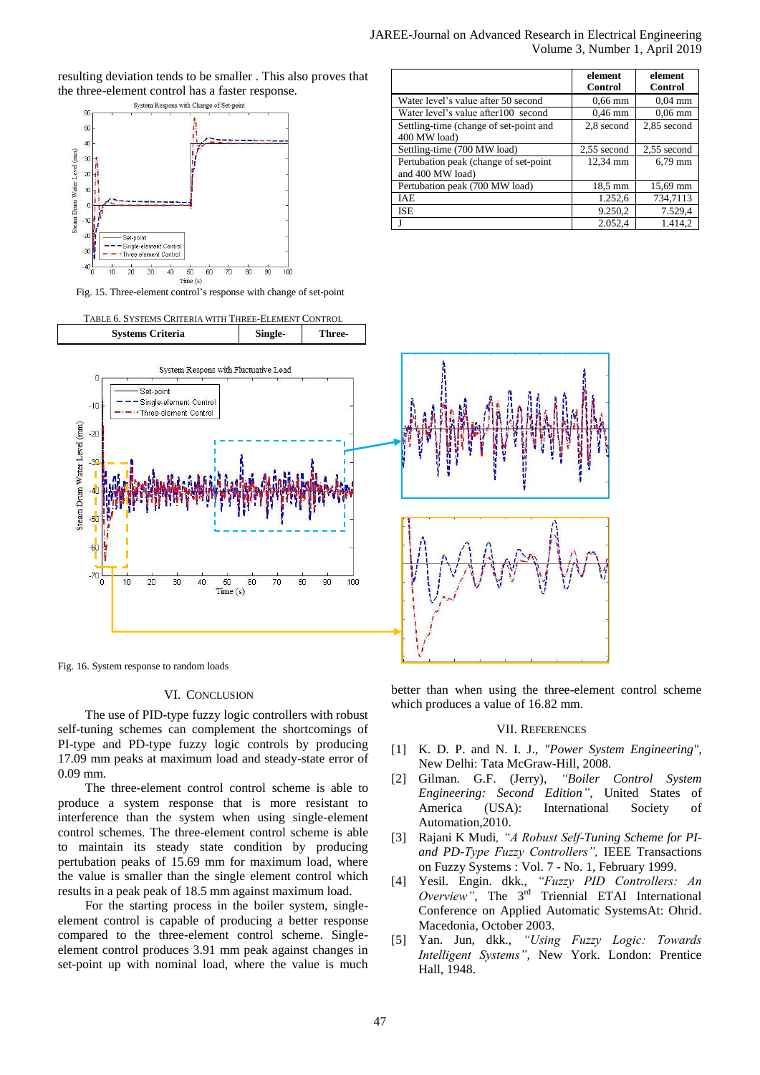resulting deviation tends to be smaller . This also proves that the three-element control has a faster response.<br>  $S_{\text{ystem}~\text{Response}}$  with Change of Set-point



Fig. 15. Three-element control's response with change of set-point

TABLE 6. SYSTEMS CRITERIA WITH THREE-ELEMENT CONTROL **Systems Criteria Single- Three-**System Respons with Fluctuative Load  $\sqrt{ }$ Set-point Single-element Control  $-10^{-1}$ - Three-element Control Steam Drum Water Level (mm)  $-20$  $-5<sub>0</sub>$ -6  $-70$ Έ  $10$ 20 30 40 50 60 70 80 90 100  $Time(s)$ 

Fig. 16. System response to random loads

### VI. CONCLUSION

The use of PID-type fuzzy logic controllers with robust self-tuning schemes can complement the shortcomings of PI-type and PD-type fuzzy logic controls by producing 17.09 mm peaks at maximum load and steady-state error of 0.09 mm.

The three-element control control scheme is able to produce a system response that is more resistant to interference than the system when using single-element control schemes. The three-element control scheme is able to maintain its steady state condition by producing pertubation peaks of 15.69 mm for maximum load, where the value is smaller than the single element control which results in a peak peak of 18.5 mm against maximum load.

For the starting process in the boiler system, singleelement control is capable of producing a better response compared to the three-element control scheme. Singleelement control produces 3.91 mm peak against changes in set-point up with nominal load, where the value is much better than when using the three-element control scheme which produces a value of 16.82 mm.

#### VII. REFERENCES

- [1] K. D. P. and N. I. J., *"Power System Engineering",*  New Delhi: Tata McGraw-Hill, 2008.
- [2] Gilman. G.F. (Jerry), *"Boiler Control System Engineering: Second Edition"*, United States of America (USA): International Society of Automation,2010.
- [3] Rajani K Mudi*, "A Robust Self-Tuning Scheme for PIand PD-Type Fuzzy Controllers",* IEEE Transactions on Fuzzy Systems : Vol. 7 - No. 1, February 1999.
- [4] Yesil. Engin. dkk., *"Fuzzy PID Controllers: An Overview"*, The 3rd Triennial ETAI International Conference on Applied Automatic SystemsAt: Ohrid. Macedonia, October 2003.
- [5] Yan. Jun, dkk., *"Using Fuzzy Logic: Towards Intelligent Systems"*, New York. London: Prentice Hall, 1948.

|                                                            | element<br>Control | element<br><b>Control</b> |
|------------------------------------------------------------|--------------------|---------------------------|
| Water level's value after 50 second                        | $0.66$ mm          | $0.04$ mm                 |
| Water level's value after100 second                        | $0.46$ mm          | $0.06$ mm                 |
| Settling-time (change of set-point and<br>400 MW load)     | 2,8 second         | 2,85 second               |
| Settling-time (700 MW load)                                | 2,55 second        | 2,55 second               |
| Pertubation peak (change of set-point)<br>and 400 MW load) | 12,34 mm           | 6,79 mm                   |
| Pertubation peak (700 MW load)                             | 18,5 mm            | 15,69 mm                  |
| <b>IAE</b>                                                 | 1.252,6            | 734,7113                  |
| <b>ISE</b>                                                 | 9.250,2            | 7.529,4                   |
|                                                            | 2.052.4            | 1.414.2                   |